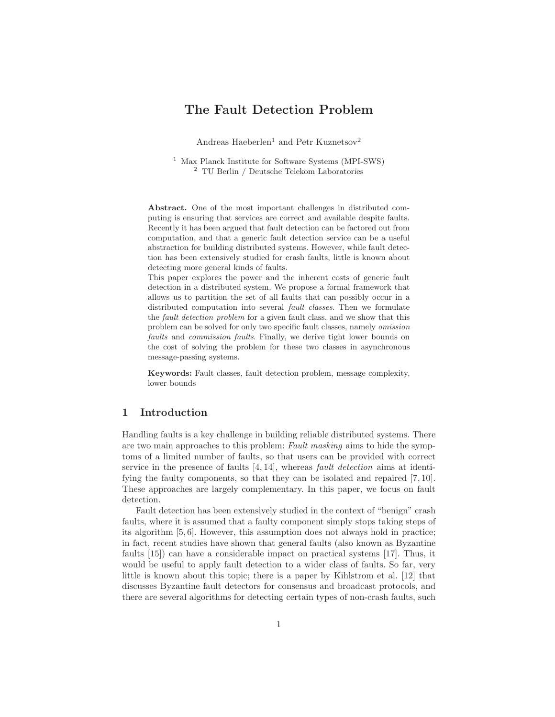# The Fault Detection Problem

Andreas Haeberlen<sup>1</sup> and Petr Kuznetsov<sup>2</sup>

<sup>1</sup> Max Planck Institute for Software Systems (MPI-SWS)  $^{\rm 2}$  TU Berlin / Deutsche Telekom Laboratories

Abstract. One of the most important challenges in distributed computing is ensuring that services are correct and available despite faults. Recently it has been argued that fault detection can be factored out from computation, and that a generic fault detection service can be a useful abstraction for building distributed systems. However, while fault detection has been extensively studied for crash faults, little is known about detecting more general kinds of faults.

This paper explores the power and the inherent costs of generic fault detection in a distributed system. We propose a formal framework that allows us to partition the set of all faults that can possibly occur in a distributed computation into several *fault classes*. Then we formulate the fault detection problem for a given fault class, and we show that this problem can be solved for only two specific fault classes, namely omission faults and commission faults. Finally, we derive tight lower bounds on the cost of solving the problem for these two classes in asynchronous message-passing systems.

Keywords: Fault classes, fault detection problem, message complexity, lower bounds

## 1 Introduction

Handling faults is a key challenge in building reliable distributed systems. There are two main approaches to this problem: Fault masking aims to hide the symptoms of a limited number of faults, so that users can be provided with correct service in the presence of faults  $[4, 14]$ , whereas *fault detection* aims at identifying the faulty components, so that they can be isolated and repaired [7, 10]. These approaches are largely complementary. In this paper, we focus on fault detection.

Fault detection has been extensively studied in the context of "benign" crash faults, where it is assumed that a faulty component simply stops taking steps of its algorithm [5, 6]. However, this assumption does not always hold in practice; in fact, recent studies have shown that general faults (also known as Byzantine faults [15]) can have a considerable impact on practical systems [17]. Thus, it would be useful to apply fault detection to a wider class of faults. So far, very little is known about this topic; there is a paper by Kihlstrom et al. [12] that discusses Byzantine fault detectors for consensus and broadcast protocols, and there are several algorithms for detecting certain types of non-crash faults, such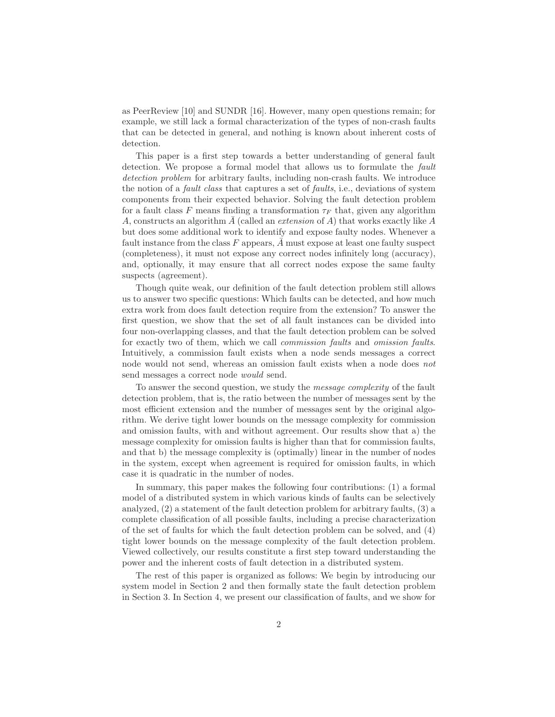as PeerReview [10] and SUNDR [16]. However, many open questions remain; for example, we still lack a formal characterization of the types of non-crash faults that can be detected in general, and nothing is known about inherent costs of detection.

This paper is a first step towards a better understanding of general fault detection. We propose a formal model that allows us to formulate the fault detection problem for arbitrary faults, including non-crash faults. We introduce the notion of a fault class that captures a set of faults, i.e., deviations of system components from their expected behavior. Solving the fault detection problem for a fault class F means finding a transformation  $\tau_F$  that, given any algorithm A, constructs an algorithm  $\overline{A}$  (called an *extension* of A) that works exactly like A but does some additional work to identify and expose faulty nodes. Whenever a fault instance from the class  $F$  appears,  $\overline{A}$  must expose at least one faulty suspect (completeness), it must not expose any correct nodes infinitely long (accuracy), and, optionally, it may ensure that all correct nodes expose the same faulty suspects (agreement).

Though quite weak, our definition of the fault detection problem still allows us to answer two specific questions: Which faults can be detected, and how much extra work from does fault detection require from the extension? To answer the first question, we show that the set of all fault instances can be divided into four non-overlapping classes, and that the fault detection problem can be solved for exactly two of them, which we call commission faults and omission faults. Intuitively, a commission fault exists when a node sends messages a correct node would not send, whereas an omission fault exists when a node does not send messages a correct node would send.

To answer the second question, we study the message complexity of the fault detection problem, that is, the ratio between the number of messages sent by the most efficient extension and the number of messages sent by the original algorithm. We derive tight lower bounds on the message complexity for commission and omission faults, with and without agreement. Our results show that a) the message complexity for omission faults is higher than that for commission faults, and that b) the message complexity is (optimally) linear in the number of nodes in the system, except when agreement is required for omission faults, in which case it is quadratic in the number of nodes.

In summary, this paper makes the following four contributions: (1) a formal model of a distributed system in which various kinds of faults can be selectively analyzed, (2) a statement of the fault detection problem for arbitrary faults, (3) a complete classification of all possible faults, including a precise characterization of the set of faults for which the fault detection problem can be solved, and (4) tight lower bounds on the message complexity of the fault detection problem. Viewed collectively, our results constitute a first step toward understanding the power and the inherent costs of fault detection in a distributed system.

The rest of this paper is organized as follows: We begin by introducing our system model in Section 2 and then formally state the fault detection problem in Section 3. In Section 4, we present our classification of faults, and we show for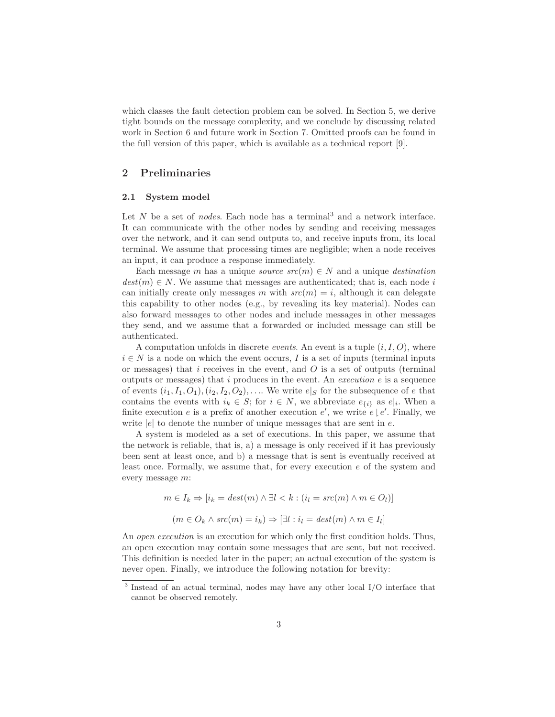which classes the fault detection problem can be solved. In Section 5, we derive tight bounds on the message complexity, and we conclude by discussing related work in Section 6 and future work in Section 7. Omitted proofs can be found in the full version of this paper, which is available as a technical report [9].

# 2 Preliminaries

### 2.1 System model

Let  $N$  be a set of *nodes*. Each node has a terminal<sup>3</sup> and a network interface. It can communicate with the other nodes by sending and receiving messages over the network, and it can send outputs to, and receive inputs from, its local terminal. We assume that processing times are negligible; when a node receives an input, it can produce a response immediately.

Each message m has a unique source  $src(m) \in N$  and a unique destination  $dest(m) \in N$ . We assume that messages are authenticated; that is, each node i can initially create only messages m with  $src(m) = i$ , although it can delegate this capability to other nodes (e.g., by revealing its key material). Nodes can also forward messages to other nodes and include messages in other messages they send, and we assume that a forwarded or included message can still be authenticated.

A computation unfolds in discrete events. An event is a tuple  $(i, I, O)$ , where  $i \in N$  is a node on which the event occurs, I is a set of inputs (terminal inputs or messages) that i receives in the event, and  $\hat{O}$  is a set of outputs (terminal outputs or messages) that  $i$  produces in the event. An *execution*  $e$  is a sequence of events  $(i_1, I_1, O_1), (i_2, I_2, O_2), \ldots$  We write  $e|_S$  for the subsequence of e that contains the events with  $i_k \in S$ ; for  $i \in N$ , we abbreviate  $e_{\{i\}}$  as  $e|_i$ . When a finite execution e is a prefix of another execution  $e'$ , we write  $e \, | \, e'$ . Finally, we write  $|e|$  to denote the number of unique messages that are sent in  $e$ .

A system is modeled as a set of executions. In this paper, we assume that the network is reliable, that is, a) a message is only received if it has previously been sent at least once, and b) a message that is sent is eventually received at least once. Formally, we assume that, for every execution e of the system and every message m:

$$
m \in I_k \Rightarrow [i_k = dest(m) \land \exists l < k : (i_l = src(m) \land m \in O_l)]
$$
\n
$$
(m \in O_k \land src(m) = i_k) \Rightarrow [\exists l : i_l = dest(m) \land m \in I_l]
$$

An open execution is an execution for which only the first condition holds. Thus, an open execution may contain some messages that are sent, but not received. This definition is needed later in the paper; an actual execution of the system is never open. Finally, we introduce the following notation for brevity:

<sup>&</sup>lt;sup>3</sup> Instead of an actual terminal, nodes may have any other local I/O interface that cannot be observed remotely.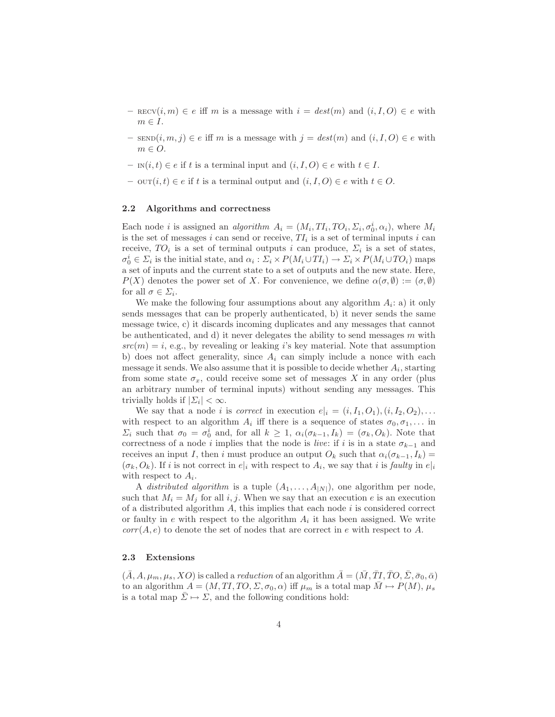- $\text{RECV}(i, m) \in e$  iff m is a message with  $i = dest(m)$  and  $(i, I, O) \in e$  with  $m \in I$ .
- $\text{sem}(i, m, j) \in e$  iff m is a message with  $j = dest(m)$  and  $(i, I, O) \in e$  with  $m \in O$ .
- $-$  IN $(i, t) \in e$  if t is a terminal input and  $(i, I, O) \in e$  with  $t \in I$ .
- $-$  out  $(i, t) \in e$  if t is a terminal output and  $(i, I, O) \in e$  with  $t \in O$ .

#### 2.2 Algorithms and correctness

Each node *i* is assigned an *algorithm*  $A_i = (M_i, TI_i, TO_i, \Sigma_i, \sigma_0^i, \alpha_i)$ , where  $M_i$ is the set of messages i can send or receive,  $TI_i$  is a set of terminal inputs i can receive,  $TO<sub>i</sub>$  is a set of terminal outputs i can produce,  $\Sigma<sub>i</sub>$  is a set of states,  $\sigma_0^i \in \Sigma_i$  is the initial state, and  $\alpha_i : \Sigma_i \times P(M_i \cup TI_i) \to \Sigma_i \times P(M_i \cup TO_i)$  maps a set of inputs and the current state to a set of outputs and the new state. Here,  $P(X)$  denotes the power set of X. For convenience, we define  $\alpha(\sigma, \emptyset) := (\sigma, \emptyset)$ for all  $\sigma \in \Sigma_i$ .

We make the following four assumptions about any algorithm  $A_i$ : a) it only sends messages that can be properly authenticated, b) it never sends the same message twice, c) it discards incoming duplicates and any messages that cannot be authenticated, and d) it never delegates the ability to send messages  $m$  with  $src(m) = i$ , e.g., by revealing or leaking i's key material. Note that assumption b) does not affect generality, since  $A_i$  can simply include a nonce with each message it sends. We also assume that it is possible to decide whether  $A_i$ , starting from some state  $\sigma_x$ , could receive some set of messages X in any order (plus an arbitrary number of terminal inputs) without sending any messages. This trivially holds if  $|\Sigma_i| < \infty$ .

We say that a node *i* is *correct* in execution  $e|_i = (i, I_1, O_1), (i, I_2, O_2), \ldots$ with respect to an algorithm  $A_i$  iff there is a sequence of states  $\sigma_0, \sigma_1, \ldots$  in  $\Sigma_i$  such that  $\sigma_0 = \sigma_0^i$  and, for all  $k \geq 1$ ,  $\alpha_i(\sigma_{k-1}, I_k) = (\sigma_k, O_k)$ . Note that correctness of a node *i* implies that the node is *live*: if *i* is in a state  $\sigma_{k-1}$  and receives an input I, then i must produce an output  $O_k$  such that  $\alpha_i(\sigma_{k-1}, I_k) =$  $(\sigma_k, O_k)$ . If i is not correct in  $e|_i$  with respect to  $A_i$ , we say that i is faulty in  $e|_i$ with respect to  $A_i$ .

A *distributed algorithm* is a tuple  $(A_1, \ldots, A_{|N|})$ , one algorithm per node, such that  $M_i = M_j$  for all i, j. When we say that an execution e is an execution of a distributed algorithm  $A$ , this implies that each node  $i$  is considered correct or faulty in e with respect to the algorithm  $A_i$  it has been assigned. We write  $corr(A, e)$  to denote the set of nodes that are correct in e with respect to A.

#### 2.3 Extensions

 $(\overline{A}, A, \mu_m, \mu_s, XO)$  is called a reduction of an algorithm  $\overline{A} = (\overline{M}, \overline{T}I, \overline{T}O, \overline{S}, \overline{\sigma}_0, \overline{\alpha})$ to an algorithm  $A = (M, TI, TO, \Sigma, \sigma_0, \alpha)$  iff  $\mu_m$  is a total map  $\overline{M} \mapsto P(M), \mu_s$ is a total map  $\overline{\Sigma} \mapsto \Sigma$ , and the following conditions hold: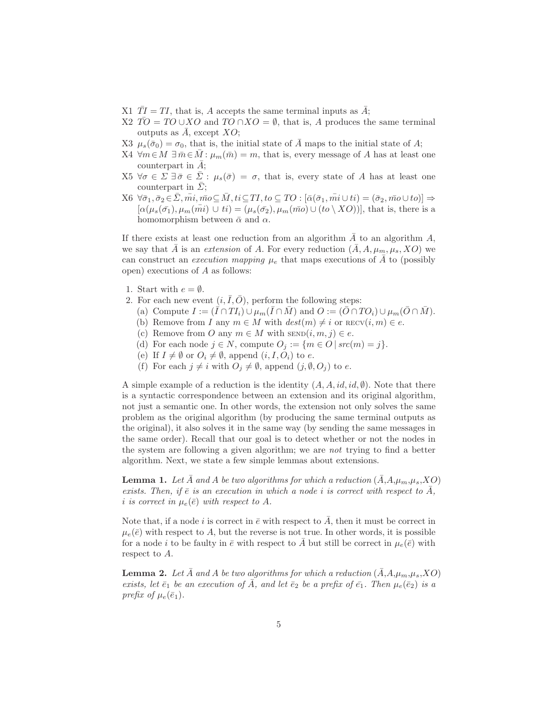- X1  $\overline{TI} = TI$ , that is, A accepts the same terminal inputs as  $\overline{A}$ ;
- X2 TO = TO ∪XO and TO ∩XO =  $\emptyset$ , that is, A produces the same terminal outputs as  $\overline{A}$ , except  $XO$ ;
- X3  $\mu_s(\bar{\sigma}_0) = \sigma_0$ , that is, the initial state of  $\bar{A}$  maps to the initial state of A;
- X4  $\forall m \in M \exists \bar{m} \in \bar{M} : \mu_m(\bar{m}) = m$ , that is, every message of A has at least one counterpart in  $\overline{A}$ ;
- X5  $\forall \sigma \in \Sigma \exists \bar{\sigma} \in \bar{\Sigma} : \mu_s(\bar{\sigma}) = \sigma$ , that is, every state of A has at least one counterpart in  $\bar{\Sigma}$ ;
- $X6 \ \forall \bar{\sigma}_1, \bar{\sigma}_2 \in \bar{\Sigma}, \bar{m}i, \bar{m}o \subseteq \bar{M}, t_i \subseteq TI, to \subseteq TO : [\bar{\alpha}(\bar{\sigma}_1, \bar{m}i \cup ti) = (\bar{\sigma}_2, \bar{m}o \cup to)] \Rightarrow$  $[\alpha(\mu_s(\bar{\sigma_1}), \mu_m(\bar{m_i}) \cup t_i) = (\mu_s(\bar{\sigma_2}), \mu_m(\bar{m_0}) \cup (to \setminus XO))]$ , that is, there is a homomorphism between  $\bar{\alpha}$  and  $\alpha$ .

If there exists at least one reduction from an algorithm  $\overline{A}$  to an algorithm  $A$ , we say that  $\overline{A}$  is an extension of A. For every reduction  $(\overline{A}, A, \mu_m, \mu_s, XO)$  we can construct an *execution mapping*  $\mu_e$  that maps executions of  $\overline{A}$  to (possibly open) executions of A as follows:

- 1. Start with  $e = \emptyset$ .
- 2. For each new event  $(i, \overline{I}, \overline{O})$ , perform the following steps:
	- (a) Compute  $I := (\bar{I} \cap TI_i) \cup \mu_m(\bar{I} \cap \bar{M})$  and  $O := (\bar{O} \cap TO_i) \cup \mu_m(\bar{O} \cap \bar{M})$ .
	- (b) Remove from I any  $m \in M$  with  $dest(m) \neq i$  or  $\text{RECV}(i, m) \in e$ .
	- (c) Remove from O any  $m \in M$  with  $\text{sgn}(i, m, j) \in e$ .
	- (d) For each node  $j \in N$ , compute  $O_j := \{m \in O \mid src(m) = j\}.$
	- (e) If  $I \neq \emptyset$  or  $O_i \neq \emptyset$ , append  $(i, I, O_i)$  to e.
	- (f) For each  $j \neq i$  with  $O_j \neq \emptyset$ , append  $(j, \emptyset, O_j)$  to e.

A simple example of a reduction is the identity  $(A, A, id, id, \emptyset)$ . Note that there is a syntactic correspondence between an extension and its original algorithm, not just a semantic one. In other words, the extension not only solves the same problem as the original algorithm (by producing the same terminal outputs as the original), it also solves it in the same way (by sending the same messages in the same order). Recall that our goal is to detect whether or not the nodes in the system are following a given algorithm; we are not trying to find a better algorithm. Next, we state a few simple lemmas about extensions.

**Lemma 1.** Let A and A be two algorithms for which a reduction  $(A, A, \mu_m, \mu_s, XO)$ exists. Then, if  $\bar{e}$  is an execution in which a node i is correct with respect to A, i is correct in  $\mu_e(\bar{e})$  with respect to A.

Note that, if a node i is correct in  $\bar{e}$  with respect to  $\bar{A}$ , then it must be correct in  $\mu_e(\bar{e})$  with respect to A, but the reverse is not true. In other words, it is possible for a node i to be faulty in  $\bar{e}$  with respect to  $\bar{A}$  but still be correct in  $\mu_e(\bar{e})$  with respect to A.

**Lemma 2.** Let  $\bar{A}$  and  $A$  be two algorithms for which a reduction ( $\bar{A}$ , $A$ , $\mu$ <sub>m</sub>, $\mu$ <sub>s</sub>, $X$ O) exists, let  $\bar{e}_1$  be an execution of  $\bar{A}$ , and let  $\bar{e}_2$  be a prefix of  $\bar{e}_1$ . Then  $\mu_e(\bar{e}_2)$  is a prefix of  $\mu_e(\bar{e}_1)$ .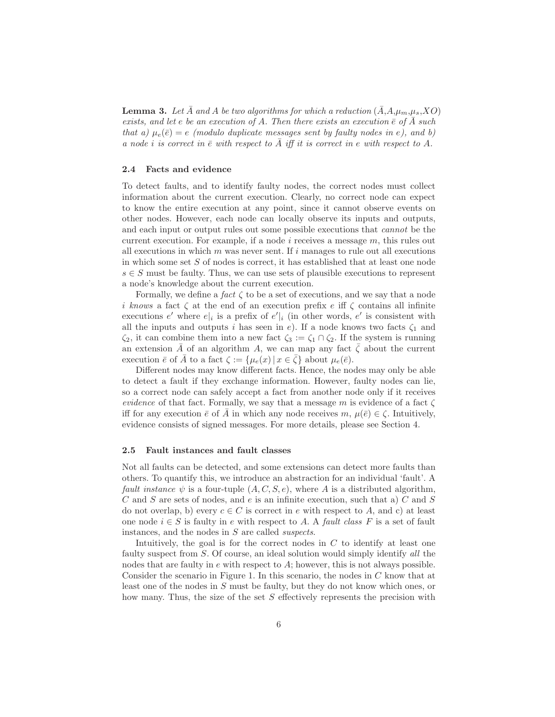**Lemma 3.** Let  $\overline{A}$  and  $A$  be two algorithms for which a reduction  $(A, A, \mu_m, \mu_s, XO)$ exists, and let e be an execution of A. Then there exists an execution  $\bar{e}$  of  $\bar{A}$  such that a)  $\mu_e(\bar{e}) = e$  (modulo duplicate messages sent by faulty nodes in e), and b) a node i is correct in  $\bar{e}$  with respect to  $\bar{A}$  iff it is correct in e with respect to A.

### 2.4 Facts and evidence

To detect faults, and to identify faulty nodes, the correct nodes must collect information about the current execution. Clearly, no correct node can expect to know the entire execution at any point, since it cannot observe events on other nodes. However, each node can locally observe its inputs and outputs, and each input or output rules out some possible executions that cannot be the current execution. For example, if a node i receives a message  $m$ , this rules out all executions in which  $m$  was never sent. If  $i$  manages to rule out all executions in which some set  $S$  of nodes is correct, it has established that at least one node  $s \in S$  must be faulty. Thus, we can use sets of plausible executions to represent a node's knowledge about the current execution.

Formally, we define a fact  $\zeta$  to be a set of executions, and we say that a node i knows a fact  $\zeta$  at the end of an execution prefix e iff  $\zeta$  contains all infinite executions  $e'$  where  $e|_i$  is a prefix of  $e'|_i$  (in other words,  $e'$  is consistent with all the inputs and outputs i has seen in e). If a node knows two facts  $\zeta_1$  and  $\zeta_2$ , it can combine them into a new fact  $\zeta_3 := \zeta_1 \cap \zeta_2$ . If the system is running an extension  $\overline{A}$  of an algorithm A, we can map any fact  $\overline{\zeta}$  about the current execution  $\bar{e}$  of  $\bar{A}$  to a fact  $\zeta := {\mu_e(x) | x \in \zeta}$  about  $\mu_e(\bar{e})$ .

Different nodes may know different facts. Hence, the nodes may only be able to detect a fault if they exchange information. However, faulty nodes can lie, so a correct node can safely accept a fact from another node only if it receives evidence of that fact. Formally, we say that a message m is evidence of a fact  $\zeta$ iff for any execution  $\bar{e}$  of  $\bar{A}$  in which any node receives m,  $\mu(\bar{e}) \in \zeta$ . Intuitively, evidence consists of signed messages. For more details, please see Section 4.

#### 2.5 Fault instances and fault classes

Not all faults can be detected, and some extensions can detect more faults than others. To quantify this, we introduce an abstraction for an individual 'fault'. A fault instance  $\psi$  is a four-tuple  $(A, C, S, e)$ , where A is a distributed algorithm, C and S are sets of nodes, and e is an infinite execution, such that a) C and S do not overlap, b) every  $c \in C$  is correct in e with respect to A, and c) at least one node  $i \in S$  is faulty in e with respect to A. A *fault class* F is a set of fault instances, and the nodes in S are called suspects.

Intuitively, the goal is for the correct nodes in  $C$  to identify at least one faulty suspect from S. Of course, an ideal solution would simply identify all the nodes that are faulty in e with respect to A; however, this is not always possible. Consider the scenario in Figure 1. In this scenario, the nodes in  $C$  know that at least one of the nodes in S must be faulty, but they do not know which ones, or how many. Thus, the size of the set  $S$  effectively represents the precision with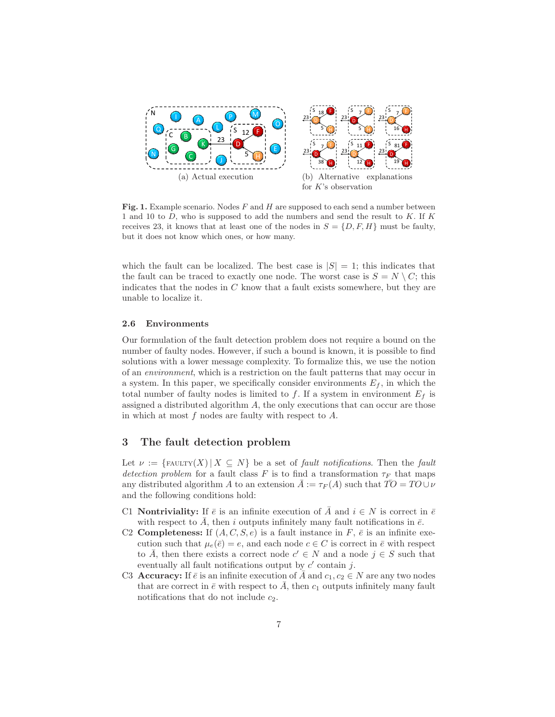

Fig. 1. Example scenario. Nodes  $F$  and  $H$  are supposed to each send a number between 1 and 10 to  $D$ , who is supposed to add the numbers and send the result to  $K$ . If  $K$ receives 23, it knows that at least one of the nodes in  $S = \{D, F, H\}$  must be faulty, but it does not know which ones, or how many.

which the fault can be localized. The best case is  $|S| = 1$ ; this indicates that the fault can be traced to exactly one node. The worst case is  $S = N \setminus C$ ; this indicates that the nodes in  $C$  know that a fault exists somewhere, but they are unable to localize it.

### 2.6 Environments

Our formulation of the fault detection problem does not require a bound on the number of faulty nodes. However, if such a bound is known, it is possible to find solutions with a lower message complexity. To formalize this, we use the notion of an environment, which is a restriction on the fault patterns that may occur in a system. In this paper, we specifically consider environments  $E_f$ , in which the total number of faulty nodes is limited to f. If a system in environment  $E_f$  is assigned a distributed algorithm  $A$ , the only executions that can occur are those in which at most  $f$  nodes are faulty with respect to  $A$ .

# 3 The fault detection problem

Let  $\nu := {\text{Fautry}(X) | X \subseteq N}$  be a set of *fault notifications*. Then the *fault* detection problem for a fault class F is to find a transformation  $\tau_F$  that maps any distributed algorithm A to an extension  $\overline{A} := \tau_F(A)$  such that  $\overline{TO} = \overline{TO} \cup \nu$ and the following conditions hold:

- C1 **Nontriviality:** If  $\bar{e}$  is an infinite execution of A and  $i \in N$  is correct in  $\bar{e}$ with respect to A, then i outputs infinitely many fault notifications in  $\bar{e}$ .
- C2 **Completeness:** If  $(A, C, S, e)$  is a fault instance in F,  $\bar{e}$  is an infinite execution such that  $\mu_e(\bar{e}) = e$ , and each node  $c \in C$  is correct in  $\bar{e}$  with respect to  $\overline{A}$ , then there exists a correct node  $c' \in N$  and a node  $j \in S$  such that eventually all fault notifications output by  $c'$  contain j.
- C3 **Accuracy:** If  $\bar{e}$  is an infinite execution of A and  $c_1, c_2 \in N$  are any two nodes that are correct in  $\bar{e}$  with respect to  $\bar{A}$ , then  $c_1$  outputs infinitely many fault notifications that do not include  $c_2$ .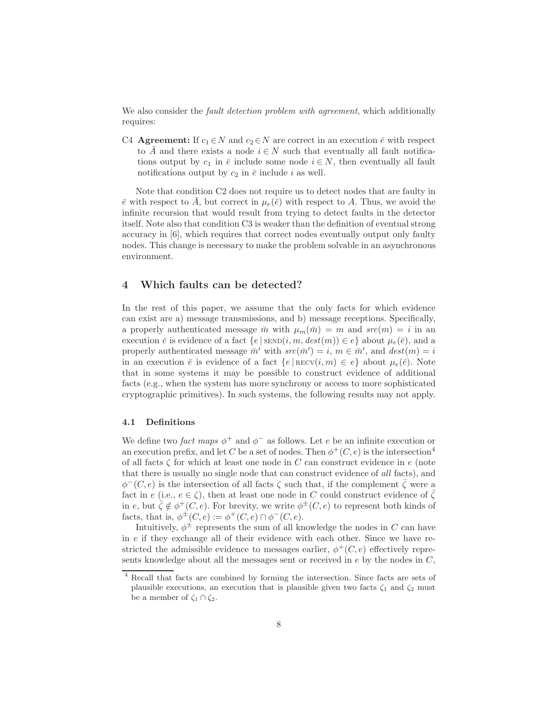We also consider the *fault detection problem with agreement*, which additionally requires:

C4 Agreement: If  $c_1 \in N$  and  $c_2 \in N$  are correct in an execution  $\bar{e}$  with respect to  $\overline{A}$  and there exists a node  $i \in N$  such that eventually all fault notifications output by  $c_1$  in  $\bar{e}$  include some node  $i \in N$ , then eventually all fault notifications output by  $c_2$  in  $\bar{e}$  include i as well.

Note that condition C2 does not require us to detect nodes that are faulty in  $\bar{e}$  with respect to A, but correct in  $\mu_e(\bar{e})$  with respect to A. Thus, we avoid the infinite recursion that would result from trying to detect faults in the detector itself. Note also that condition C3 is weaker than the definition of eventual strong accuracy in [6], which requires that correct nodes eventually output only faulty nodes. This change is necessary to make the problem solvable in an asynchronous environment.

### 4 Which faults can be detected?

In the rest of this paper, we assume that the only facts for which evidence can exist are a) message transmissions, and b) message receptions. Specifically, a properly authenticated message  $\bar{m}$  with  $\mu_m(\bar{m}) = m$  and  $src(m) = i$  in an execution  $\bar{e}$  is evidence of a fact  $\{e \mid \text{sem}(i, m, dest(m)) \in e\}$  about  $\mu_e(\bar{e})$ , and a properly authenticated message  $\bar{m}'$  with  $src(\bar{m}') = i$ ,  $m \in \bar{m}'$ , and  $dest(m) = i$ in an execution  $\bar{e}$  is evidence of a fact  $\{e \mid \text{recv}(i, m) \in e\}$  about  $\mu_e(\bar{e})$ . Note that in some systems it may be possible to construct evidence of additional facts (e.g., when the system has more synchrony or access to more sophisticated cryptographic primitives). In such systems, the following results may not apply.

### 4.1 Definitions

We define two fact maps  $\phi^+$  and  $\phi^-$  as follows. Let e be an infinite execution or an execution prefix, and let C be a set of nodes. Then  $\phi^+(C, e)$  is the intersection<sup>4</sup> of all facts  $\zeta$  for which at least one node in C can construct evidence in e (note that there is usually no single node that can construct evidence of all facts), and  $\phi^-(C, e)$  is the intersection of all facts  $\zeta$  such that, if the complement  $\overline{\zeta}$  were a fact in e (i.e.,  $e \in \zeta$ ), then at least one node in C could construct evidence of  $\zeta$ in e, but  $\bar{\zeta} \notin \phi^+(C, e)$ . For brevity, we write  $\phi^{\pm}(C, e)$  to represent both kinds of facts, that is,  $\phi^{\pm}(C, e) := \phi^+(C, e) \cap \phi^-(C, e)$ .

Intuitively,  $\phi^{\pm}$  represents the sum of all knowledge the nodes in C can have in e if they exchange all of their evidence with each other. Since we have restricted the admissible evidence to messages earlier,  $\phi^+(C, e)$  effectively represents knowledge about all the messages sent or received in  $e$  by the nodes in  $C$ ,

<sup>4</sup> Recall that facts are combined by forming the intersection. Since facts are sets of plausible executions, an execution that is plausible given two facts  $\zeta_1$  and  $\zeta_2$  must be a member of  $\zeta_1 \cap \zeta_2$ .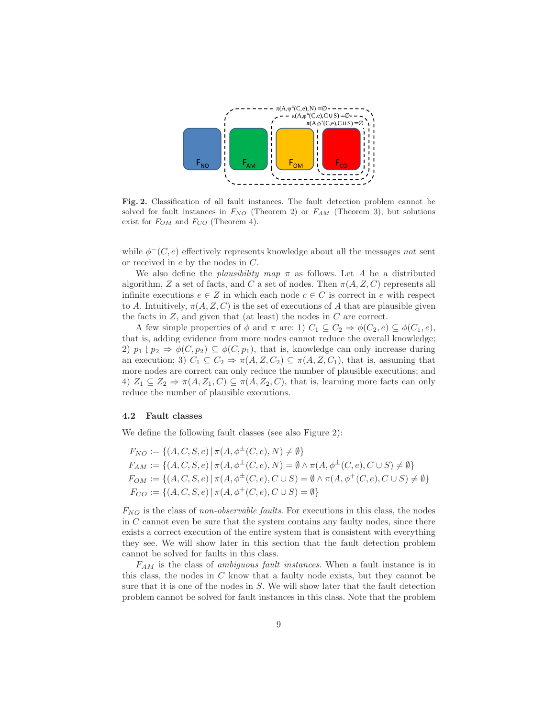

Fig. 2. Classification of all fault instances. The fault detection problem cannot be solved for fault instances in  $F_{NO}$  (Theorem 2) or  $F_{AM}$  (Theorem 3), but solutions exist for  $F_{OM}$  and  $F_{CO}$  (Theorem 4).

while  $\phi^-(C, e)$  effectively represents knowledge about all the messages not sent or received in e by the nodes in C.

We also define the *plausibility map*  $\pi$  as follows. Let A be a distributed algorithm, Z a set of facts, and C a set of nodes. Then  $\pi(A, Z, C)$  represents all infinite executions  $e \in Z$  in which each node  $c \in C$  is correct in e with respect to A. Intuitively,  $\pi(A, Z, C)$  is the set of executions of A that are plausible given the facts in  $Z$ , and given that (at least) the nodes in  $C$  are correct.

A few simple properties of  $\phi$  and  $\pi$  are: 1)  $C_1 \subseteq C_2 \Rightarrow \phi(C_2, e) \subseteq \phi(C_1, e)$ , that is, adding evidence from more nodes cannot reduce the overall knowledge; 2)  $p_1 \mid p_2 \Rightarrow \phi(C, p_2) \subseteq \phi(C, p_1)$ , that is, knowledge can only increase during an execution; 3)  $C_1 \subseteq C_2 \Rightarrow \pi(A, Z, C_2) \subseteq \pi(A, Z, C_1)$ , that is, assuming that more nodes are correct can only reduce the number of plausible executions; and 4)  $Z_1 \subseteq Z_2 \Rightarrow \pi(A, Z_1, C) \subseteq \pi(A, Z_2, C)$ , that is, learning more facts can only reduce the number of plausible executions.

#### 4.2 Fault classes

We define the following fault classes (see also Figure 2):

 $F_{NO} := \{(A, C, S, e) | \pi(A, \phi^{\pm}(C, e), N) \neq \emptyset \}$  $F_{AM} := \{(A, C, S, e) | \pi(A, \phi^{\pm}(C, e), N) = \emptyset \wedge \pi(A, \phi^{\pm}(C, e), C \cup S) \neq \emptyset \}$  $F_{OM} := \{(A, C, S, e) | \pi(A, \phi^{\pm}(C, e), C \cup S) = \emptyset \wedge \pi(A, \phi^{\pm}(C, e), C \cup S) \neq \emptyset \}$  $F_{CO} := \{(A, C, S, e) | \pi(A, \phi^+(C, e), C \cup S) = \emptyset \}$ 

 $F_{NO}$  is the class of *non-observable faults*. For executions in this class, the nodes in  $C$  cannot even be sure that the system contains any faulty nodes, since there exists a correct execution of the entire system that is consistent with everything they see. We will show later in this section that the fault detection problem cannot be solved for faults in this class.

 $F_{AM}$  is the class of *ambiguous fault instances*. When a fault instance is in this class, the nodes in C know that a faulty node exists, but they cannot be sure that it is one of the nodes in S. We will show later that the fault detection problem cannot be solved for fault instances in this class. Note that the problem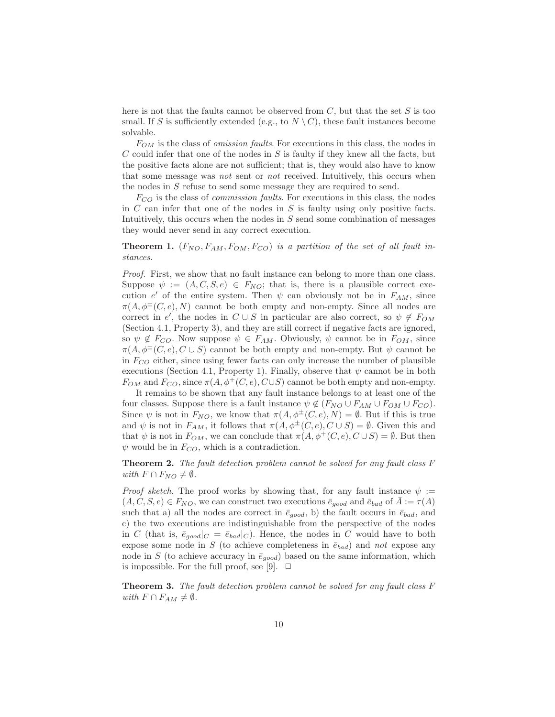here is not that the faults cannot be observed from  $C$ , but that the set  $S$  is too small. If S is sufficiently extended (e.g., to  $N \setminus C$ ), these fault instances become solvable.

 $F_{OM}$  is the class of *omission faults*. For executions in this class, the nodes in  $C$  could infer that one of the nodes in  $S$  is faulty if they knew all the facts, but the positive facts alone are not sufficient; that is, they would also have to know that some message was *not* sent or *not* received. Intuitively, this occurs when the nodes in S refuse to send some message they are required to send.

 $F_{CO}$  is the class of *commission faults*. For executions in this class, the nodes in  $C$  can infer that one of the nodes in  $S$  is faulty using only positive facts. Intuitively, this occurs when the nodes in  $S$  send some combination of messages they would never send in any correct execution.

**Theorem 1.**  $(F_{NO}, F_{AM}, F_{OM}, F_{CO})$  is a partition of the set of all fault instances.

*Proof.* First, we show that no fault instance can belong to more than one class. Suppose  $\psi := (A, C, S, e) \in F_{NO}$ ; that is, there is a plausible correct execution  $e'$  of the entire system. Then  $\psi$  can obviously not be in  $F_{AM}$ , since  $\pi(A, \phi^{\pm}(C, e), N)$  cannot be both empty and non-empty. Since all nodes are correct in e', the nodes in  $C \cup S$  in particular are also correct, so  $\psi \notin F_{OM}$ (Section 4.1, Property 3), and they are still correct if negative facts are ignored, so  $\psi \notin F_{CO}$ . Now suppose  $\psi \in F_{AM}$ . Obviously,  $\psi$  cannot be in  $F_{OM}$ , since  $\pi(A, \phi^{\pm}(C, e), C \cup S)$  cannot be both empty and non-empty. But  $\psi$  cannot be in  $F_{CO}$  either, since using fewer facts can only increase the number of plausible executions (Section 4.1, Property 1). Finally, observe that  $\psi$  cannot be in both  $F_{OM}$  and  $F_{CO}$ , since  $\pi(A, \phi^+(C, e), C \cup S)$  cannot be both empty and non-empty.

It remains to be shown that any fault instance belongs to at least one of the four classes. Suppose there is a fault instance  $\psi \notin (F_{NO} \cup F_{AM} \cup F_{OM} \cup F_{CO})$ . Since  $\psi$  is not in  $F_{NO}$ , we know that  $\pi(A, \phi^{\pm}(C, e), N) = \emptyset$ . But if this is true and  $\psi$  is not in  $F_{AM}$ , it follows that  $\pi(A, \phi^{\pm}(C, e), C \cup S) = \emptyset$ . Given this and that  $\psi$  is not in  $F_{OM}$ , we can conclude that  $\pi(A, \phi^+(C, e), C \cup S) = \emptyset$ . But then  $\psi$  would be in  $F_{CO}$ , which is a contradiction.

**Theorem 2.** The fault detection problem cannot be solved for any fault class F with  $F \cap F_{NO} \neq \emptyset$ .

*Proof sketch*. The proof works by showing that, for any fault instance  $\psi$  :=  $(A, C, S, e) \in F_{NO}$ , we can construct two executions  $\bar{e}_{good}$  and  $\bar{e}_{bad}$  of  $\bar{A} := \tau(A)$ such that a) all the nodes are correct in  $\bar{e}_{good}$ , b) the fault occurs in  $\bar{e}_{bad}$ , and c) the two executions are indistinguishable from the perspective of the nodes in C (that is,  $\bar{e}_{good}|_C = \bar{e}_{bad}|_C$ ). Hence, the nodes in C would have to both expose some node in S (to achieve completeness in  $\bar{e}_{bad}$ ) and not expose any node in S (to achieve accuracy in  $\bar{e}_{good}$ ) based on the same information, which is impossible. For the full proof, see [9].  $\Box$ 

**Theorem 3.** The fault detection problem cannot be solved for any fault class F with  $F \cap F_{AM} \neq \emptyset$ .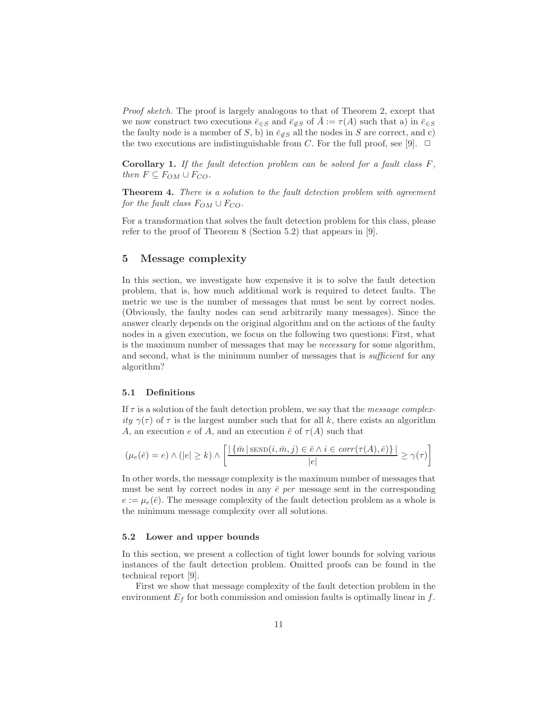Proof sketch. The proof is largely analogous to that of Theorem 2, except that we now construct two executions  $\bar{e}_{\in S}$  and  $\bar{e}_{\notin S}$  of  $\bar{A} := \tau(A)$  such that a) in  $\bar{e}_{\in S}$ the faulty node is a member of S, b) in  $\bar{e}_{\notin S}$  all the nodes in S are correct, and c) the two executions are indistinguishable from C. For the full proof, see [9].  $\Box$ 

**Corollary 1.** If the fault detection problem can be solved for a fault class  $F$ , then  $F \subseteq F_{OM} \cup F_{CO}$ .

Theorem 4. There is a solution to the fault detection problem with agreement for the fault class  $F_{OM} \cup F_{CO}$ .

For a transformation that solves the fault detection problem for this class, please refer to the proof of Theorem 8 (Section 5.2) that appears in [9].

# 5 Message complexity

In this section, we investigate how expensive it is to solve the fault detection problem, that is, how much additional work is required to detect faults. The metric we use is the number of messages that must be sent by correct nodes. (Obviously, the faulty nodes can send arbitrarily many messages). Since the answer clearly depends on the original algorithm and on the actions of the faulty nodes in a given execution, we focus on the following two questions: First, what is the maximum number of messages that may be necessary for some algorithm, and second, what is the minimum number of messages that is *sufficient* for any algorithm?

### 5.1 Definitions

If  $\tau$  is a solution of the fault detection problem, we say that the *message complex*ity  $\gamma(\tau)$  of  $\tau$  is the largest number such that for all k, there exists an algorithm A, an execution e of A, and an execution  $\bar{e}$  of  $\tau(A)$  such that

$$
(\mu_e(\bar{e}) = e) \land (|e| \ge k) \land \left[ \frac{|\{\bar{m} \mid \text{senp}(i, \bar{m}, j) \in \bar{e} \land i \in corr(\tau(A), \bar{e})\}|}{|e|} \ge \gamma(\tau) \right]
$$

In other words, the message complexity is the maximum number of messages that must be sent by correct nodes in any  $\bar{e}$  per message sent in the corresponding  $e := \mu_e(\bar{e})$ . The message complexity of the fault detection problem as a whole is the minimum message complexity over all solutions.

#### 5.2 Lower and upper bounds

In this section, we present a collection of tight lower bounds for solving various instances of the fault detection problem. Omitted proofs can be found in the technical report [9].

First we show that message complexity of the fault detection problem in the environment  $E_f$  for both commission and omission faults is optimally linear in f.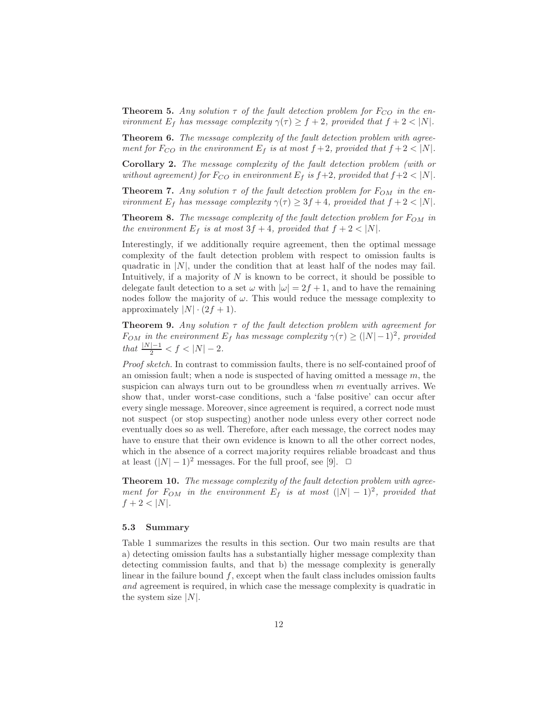**Theorem 5.** Any solution  $\tau$  of the fault detection problem for  $F_{CO}$  in the environment  $E_f$  has message complexity  $\gamma(\tau) \geq f+2$ , provided that  $f+2 < |N|$ .

Theorem 6. The message complexity of the fault detection problem with agreement for  $F_{CO}$  in the environment  $E_f$  is at most  $f+2$ , provided that  $f+2 < |N|$ .

Corollary 2. The message complexity of the fault detection problem (with or without agreement) for  $F_{CO}$  in environment  $E_f$  is  $f+2$ , provided that  $f+2 < |N|$ .

**Theorem 7.** Any solution  $\tau$  of the fault detection problem for  $F_{OM}$  in the environment  $E_f$  has message complexity  $\gamma(\tau) \geq 3f + 4$ , provided that  $f + 2 < |N|$ .

**Theorem 8.** The message complexity of the fault detection problem for  $F_{OM}$  in the environment  $E_f$  is at most  $3f + 4$ , provided that  $f + 2 < |N|$ .

Interestingly, if we additionally require agreement, then the optimal message complexity of the fault detection problem with respect to omission faults is quadratic in  $|N|$ , under the condition that at least half of the nodes may fail. Intuitively, if a majority of  $N$  is known to be correct, it should be possible to delegate fault detection to a set  $\omega$  with  $|\omega| = 2f + 1$ , and to have the remaining nodes follow the majority of  $\omega$ . This would reduce the message complexity to approximately  $|N| \cdot (2f + 1)$ .

**Theorem 9.** Any solution  $\tau$  of the fault detection problem with agreement for  $F_{OM}$  in the environment  $E_f$  has message complexity  $\gamma(\tau) \geq (|N|-1)^2$ , provided that  $\frac{|N|-1}{2} < f < |N|-2$ .

Proof sketch. In contrast to commission faults, there is no self-contained proof of an omission fault; when a node is suspected of having omitted a message  $m$ , the suspicion can always turn out to be groundless when  $m$  eventually arrives. We show that, under worst-case conditions, such a 'false positive' can occur after every single message. Moreover, since agreement is required, a correct node must not suspect (or stop suspecting) another node unless every other correct node eventually does so as well. Therefore, after each message, the correct nodes may have to ensure that their own evidence is known to all the other correct nodes, which in the absence of a correct majority requires reliable broadcast and thus at least  $(|N|-1)^2$  messages. For the full proof, see [9].  $\Box$ 

Theorem 10. The message complexity of the fault detection problem with agreement for  $F_{OM}$  in the environment  $E_f$  is at most  $(|N|-1)^2$ , provided that  $f + 2 < |N|$ .

#### 5.3 Summary

Table 1 summarizes the results in this section. Our two main results are that a) detecting omission faults has a substantially higher message complexity than detecting commission faults, and that b) the message complexity is generally linear in the failure bound  $f$ , except when the fault class includes omission faults and agreement is required, in which case the message complexity is quadratic in the system size  $|N|$ .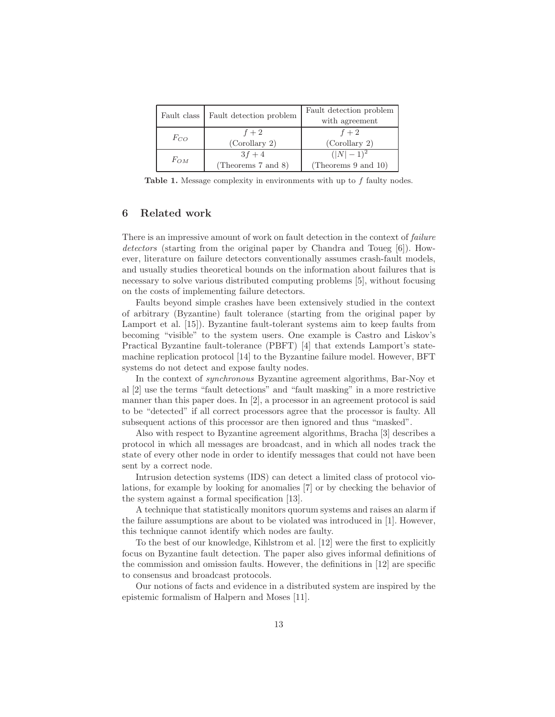| Fault class | Fault detection problem | Fault detection problem |
|-------------|-------------------------|-------------------------|
|             |                         | with agreement          |
| $F_{CO}$    | $f+2$                   | $f+2$                   |
|             | (Corollary 2)           | (Corollary 2)           |
| $F_{OM}$    | $3f + 4$                | $( N -1)^2$             |
|             | (Theorems 7 and 8)      | (Theorems 9 and 10)     |

Table 1. Message complexity in environments with up to f faulty nodes.

### 6 Related work

There is an impressive amount of work on fault detection in the context of failure detectors (starting from the original paper by Chandra and Toueg [6]). However, literature on failure detectors conventionally assumes crash-fault models, and usually studies theoretical bounds on the information about failures that is necessary to solve various distributed computing problems [5], without focusing on the costs of implementing failure detectors.

Faults beyond simple crashes have been extensively studied in the context of arbitrary (Byzantine) fault tolerance (starting from the original paper by Lamport et al. [15]). Byzantine fault-tolerant systems aim to keep faults from becoming "visible" to the system users. One example is Castro and Liskov's Practical Byzantine fault-tolerance (PBFT) [4] that extends Lamport's statemachine replication protocol [14] to the Byzantine failure model. However, BFT systems do not detect and expose faulty nodes.

In the context of synchronous Byzantine agreement algorithms, Bar-Noy et al [2] use the terms "fault detections" and "fault masking" in a more restrictive manner than this paper does. In [2], a processor in an agreement protocol is said to be "detected" if all correct processors agree that the processor is faulty. All subsequent actions of this processor are then ignored and thus "masked".

Also with respect to Byzantine agreement algorithms, Bracha [3] describes a protocol in which all messages are broadcast, and in which all nodes track the state of every other node in order to identify messages that could not have been sent by a correct node.

Intrusion detection systems (IDS) can detect a limited class of protocol violations, for example by looking for anomalies [7] or by checking the behavior of the system against a formal specification [13].

A technique that statistically monitors quorum systems and raises an alarm if the failure assumptions are about to be violated was introduced in [1]. However, this technique cannot identify which nodes are faulty.

To the best of our knowledge, Kihlstrom et al. [12] were the first to explicitly focus on Byzantine fault detection. The paper also gives informal definitions of the commission and omission faults. However, the definitions in [12] are specific to consensus and broadcast protocols.

Our notions of facts and evidence in a distributed system are inspired by the epistemic formalism of Halpern and Moses [11].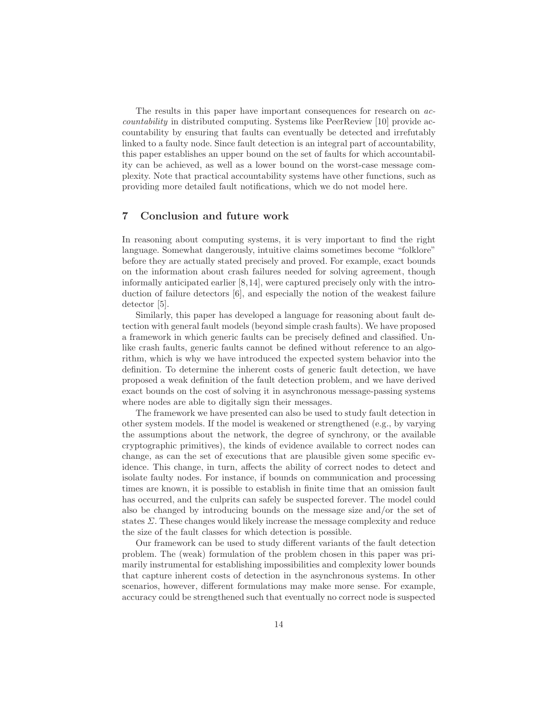The results in this paper have important consequences for research on accountability in distributed computing. Systems like PeerReview [10] provide accountability by ensuring that faults can eventually be detected and irrefutably linked to a faulty node. Since fault detection is an integral part of accountability, this paper establishes an upper bound on the set of faults for which accountability can be achieved, as well as a lower bound on the worst-case message complexity. Note that practical accountability systems have other functions, such as providing more detailed fault notifications, which we do not model here.

### 7 Conclusion and future work

In reasoning about computing systems, it is very important to find the right language. Somewhat dangerously, intuitive claims sometimes become "folklore" before they are actually stated precisely and proved. For example, exact bounds on the information about crash failures needed for solving agreement, though informally anticipated earlier [8,14], were captured precisely only with the introduction of failure detectors [6], and especially the notion of the weakest failure detector [5].

Similarly, this paper has developed a language for reasoning about fault detection with general fault models (beyond simple crash faults). We have proposed a framework in which generic faults can be precisely defined and classified. Unlike crash faults, generic faults cannot be defined without reference to an algorithm, which is why we have introduced the expected system behavior into the definition. To determine the inherent costs of generic fault detection, we have proposed a weak definition of the fault detection problem, and we have derived exact bounds on the cost of solving it in asynchronous message-passing systems where nodes are able to digitally sign their messages.

The framework we have presented can also be used to study fault detection in other system models. If the model is weakened or strengthened (e.g., by varying the assumptions about the network, the degree of synchrony, or the available cryptographic primitives), the kinds of evidence available to correct nodes can change, as can the set of executions that are plausible given some specific evidence. This change, in turn, affects the ability of correct nodes to detect and isolate faulty nodes. For instance, if bounds on communication and processing times are known, it is possible to establish in finite time that an omission fault has occurred, and the culprits can safely be suspected forever. The model could also be changed by introducing bounds on the message size and/or the set of states  $\Sigma$ . These changes would likely increase the message complexity and reduce the size of the fault classes for which detection is possible.

Our framework can be used to study different variants of the fault detection problem. The (weak) formulation of the problem chosen in this paper was primarily instrumental for establishing impossibilities and complexity lower bounds that capture inherent costs of detection in the asynchronous systems. In other scenarios, however, different formulations may make more sense. For example, accuracy could be strengthened such that eventually no correct node is suspected